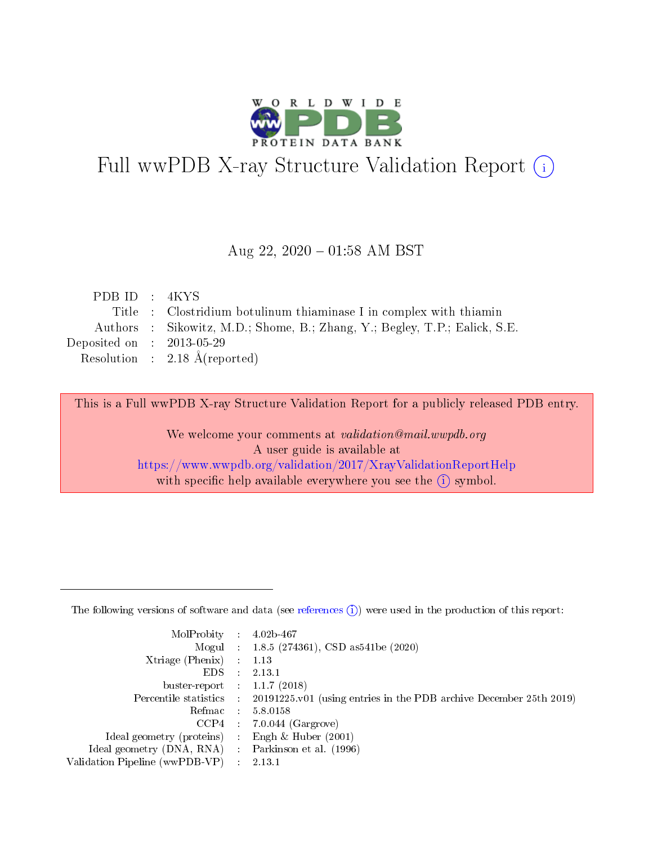

# Full wwPDB X-ray Structure Validation Report (i)

#### Aug 22,  $2020 - 01:58$  AM BST

| PDB ID: 4KYS                         |                                                                            |
|--------------------------------------|----------------------------------------------------------------------------|
|                                      | Title : Clostridium botulinum thiaminase I in complex with thiamin         |
|                                      | Authors : Sikowitz, M.D.; Shome, B.; Zhang, Y.; Begley, T.P.; Ealick, S.E. |
| Deposited on $\therefore$ 2013-05-29 |                                                                            |
|                                      | Resolution : $2.18 \text{ Å}$ (reported)                                   |
|                                      |                                                                            |

This is a Full wwPDB X-ray Structure Validation Report for a publicly released PDB entry.

We welcome your comments at validation@mail.wwpdb.org A user guide is available at <https://www.wwpdb.org/validation/2017/XrayValidationReportHelp> with specific help available everywhere you see the  $(i)$  symbol.

The following versions of software and data (see [references](https://www.wwpdb.org/validation/2017/XrayValidationReportHelp#references)  $(1)$ ) were used in the production of this report:

| MolProbity :                   |                | $4.02b - 467$                                                                |
|--------------------------------|----------------|------------------------------------------------------------------------------|
|                                |                | Mogul : 1.8.5 (274361), CSD as 541be (2020)                                  |
| $X$ triage (Phenix) :          |                | 1.13                                                                         |
| EDS.                           |                | 2.13.1                                                                       |
| buster-report : $1.1.7$ (2018) |                |                                                                              |
| Percentile statistics :        |                | $20191225 \text{ v}01$ (using entries in the PDB archive December 25th 2019) |
| Refmac                         | $\sim 10^{11}$ | 5.8.0158                                                                     |
| CCP4                           |                | $7.0.044$ (Gargrove)                                                         |
| Ideal geometry (proteins) :    |                | Engh $\&$ Huber (2001)                                                       |
| Ideal geometry (DNA, RNA) :    |                | Parkinson et al. (1996)                                                      |
| Validation Pipeline (wwPDB-VP) |                | 2.13.1                                                                       |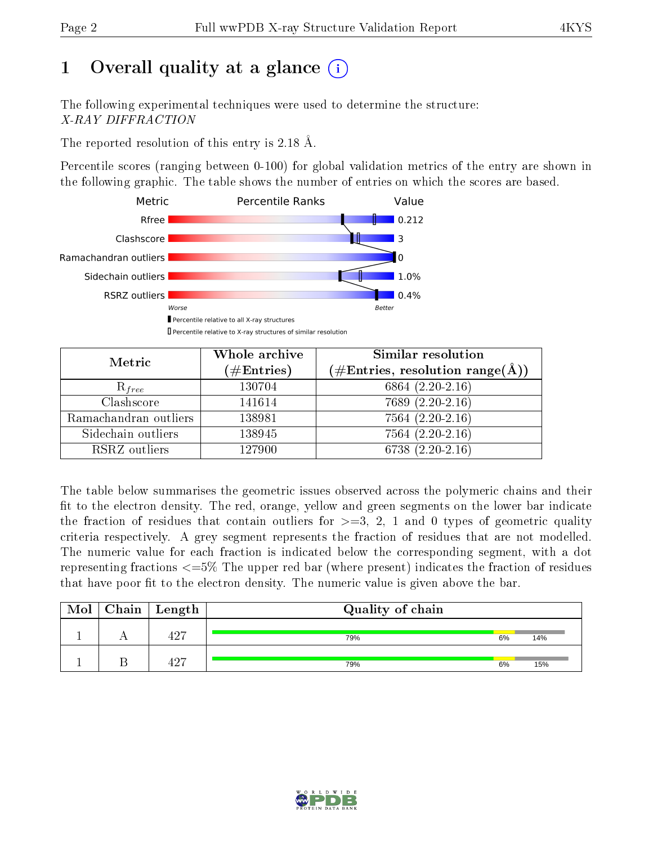# 1 [O](https://www.wwpdb.org/validation/2017/XrayValidationReportHelp#overall_quality)verall quality at a glance  $(i)$

The following experimental techniques were used to determine the structure: X-RAY DIFFRACTION

The reported resolution of this entry is 2.18 Å.

Percentile scores (ranging between 0-100) for global validation metrics of the entry are shown in the following graphic. The table shows the number of entries on which the scores are based.



| Metric                | Whole archive<br>$(\#\text{Entries})$ | Similar resolution<br>$(\#\text{Entries}, \text{resolution range}(\text{\AA}))$ |  |  |
|-----------------------|---------------------------------------|---------------------------------------------------------------------------------|--|--|
| $R_{free}$            | 130704                                | 6864 $(2.20-2.16)$                                                              |  |  |
| Clashscore            | 141614                                | $7689(2.20-2.16)$                                                               |  |  |
| Ramachandran outliers | 138981                                | $7564(2.20-2.16)$                                                               |  |  |
| Sidechain outliers    | 138945                                | $7564(2.20-2.16)$                                                               |  |  |
| RSRZ outliers         | 127900                                | 6738 $(2.20-2.16)$                                                              |  |  |

The table below summarises the geometric issues observed across the polymeric chains and their fit to the electron density. The red, orange, yellow and green segments on the lower bar indicate the fraction of residues that contain outliers for  $>=3, 2, 1$  and 0 types of geometric quality criteria respectively. A grey segment represents the fraction of residues that are not modelled. The numeric value for each fraction is indicated below the corresponding segment, with a dot representing fractions <=5% The upper red bar (where present) indicates the fraction of residues that have poor fit to the electron density. The numeric value is given above the bar.

| Mol | $\vert$ Chain $\vert$ Length | Quality of chain |    |     |
|-----|------------------------------|------------------|----|-----|
|     | 107                          | 79%              | 6% | 14% |
|     | 10H                          | 79%              | 6% | 15% |

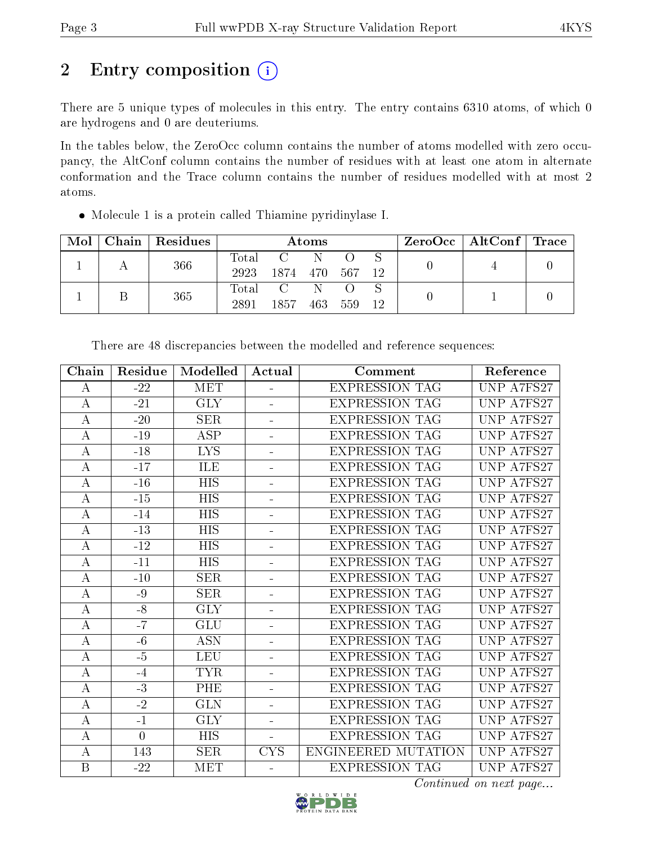# 2 Entry composition (i)

There are 5 unique types of molecules in this entry. The entry contains 6310 atoms, of which 0 are hydrogens and 0 are deuteriums.

In the tables below, the ZeroOcc column contains the number of atoms modelled with zero occupancy, the AltConf column contains the number of residues with at least one atom in alternate conformation and the Trace column contains the number of residues modelled with at most 2 atoms.

Molecule 1 is a protein called Thiamine pyridinylase I.

| Mol | Chain | Residues    |          |     | Atoms |    |  |  | $ZeroOcc \mid AltConf \mid Trace$ |  |
|-----|-------|-------------|----------|-----|-------|----|--|--|-----------------------------------|--|
|     | 366   | $\rm Total$ |          |     |       |    |  |  |                                   |  |
|     |       | 2923        | 1874 470 |     | 567   | 12 |  |  |                                   |  |
|     |       | 365         | Total    |     |       |    |  |  |                                   |  |
|     |       | 2891        | 1857     | 463 | 559   | 12 |  |  |                                   |  |

| Chain            | Residue        | Modelled                | Actual         | Comment                    | Reference  |
|------------------|----------------|-------------------------|----------------|----------------------------|------------|
| A                | $-22$          | <b>MET</b>              |                | <b>EXPRESSION TAG</b>      | UNP A7FS27 |
| $\bf{A}$         | $-21$          | <b>GLY</b>              |                | <b>EXPRESSION TAG</b>      | UNP A7FS27 |
| $\boldsymbol{A}$ | $-20$          | <b>SER</b>              | $\equiv$       | <b>EXPRESSION TAG</b>      | UNP A7FS27 |
| $\bf{A}$         | $-19$          | <b>ASP</b>              | ÷              | <b>EXPRESSION TAG</b>      | UNP A7FS27 |
| $\bf{A}$         | $-18$          | <b>LYS</b>              | $\equiv$       | <b>EXPRESSION TAG</b>      | UNP A7FS27 |
| $\bf{A}$         | $-17$          | ILE                     | $\blacksquare$ | <b>EXPRESSION TAG</b>      | UNP A7FS27 |
| $\bf{A}$         | $-16$          | <b>HIS</b>              | $\blacksquare$ | <b>EXPRESSION TAG</b>      | UNP A7FS27 |
| $\bf{A}$         | $-15$          | <b>HIS</b>              | $\blacksquare$ | <b>EXPRESSION TAG</b>      | UNP A7FS27 |
| $\boldsymbol{A}$ | $-14$          | <b>HIS</b>              |                | <b>EXPRESSION TAG</b>      | UNP A7FS27 |
| $\boldsymbol{A}$ | $-13$          | <b>HIS</b>              |                | <b>EXPRESSION TAG</b>      | UNP A7FS27 |
| $\bf{A}$         | $-12$          | <b>HIS</b>              | ÷.             | <b>EXPRESSION TAG</b>      | UNP A7FS27 |
| $\boldsymbol{A}$ | $-11$          | <b>HIS</b>              | $\overline{a}$ | <b>EXPRESSION TAG</b>      | UNP A7FS27 |
| $\bf{A}$         | $-10$          | <b>SER</b>              | $\equiv$       | <b>EXPRESSION TAG</b>      | UNP A7FS27 |
| $\boldsymbol{A}$ | $-9$           | <b>SER</b>              | $\equiv$       | <b>EXPRESSION TAG</b>      | UNP A7FS27 |
| $\overline{A}$   | $-8$           | $\overline{\text{GLY}}$ | ÷              | <b>EXPRESSION TAG</b>      | UNP A7FS27 |
| $\boldsymbol{A}$ | $-7$           | <b>GLU</b>              | $\blacksquare$ | <b>EXPRESSION TAG</b>      | UNP A7FS27 |
| $\bf{A}$         | $-6$           | $\overline{ASN}$        |                | <b>EXPRESSION TAG</b>      | UNP A7FS27 |
| $\bf{A}$         | $-5$           | <b>LEU</b>              | ÷              | <b>EXPRESSION TAG</b>      | UNP A7FS27 |
| $\bf{A}$         | $-4$           | <b>TYR</b>              | $\equiv$       | <b>EXPRESSION TAG</b>      | UNP A7FS27 |
| A                | $-3$           | PHE                     | $\equiv$       | <b>EXPRESSION TAG</b>      | UNP A7FS27 |
| $\bf{A}$         | $-2$           | <b>GLN</b>              | $\blacksquare$ | <b>EXPRESSION TAG</b>      | UNP A7FS27 |
| $\boldsymbol{A}$ | $-1$           | <b>GLY</b>              | $\blacksquare$ | <b>EXPRESSION TAG</b>      | UNP A7FS27 |
| $\boldsymbol{A}$ | $\overline{0}$ | <b>HIS</b>              |                | <b>EXPRESSION TAG</b>      | UNP A7FS27 |
| $\bf{A}$         | 143            | <b>SER</b>              | <b>CYS</b>     | <b>ENGINEERED MUTATION</b> | UNP A7FS27 |
| $\boldsymbol{B}$ | $-22$          | <b>MET</b>              |                | <b>EXPRESSION TAG</b>      | UNP A7FS27 |

There are 48 discrepancies between the modelled and reference sequences:

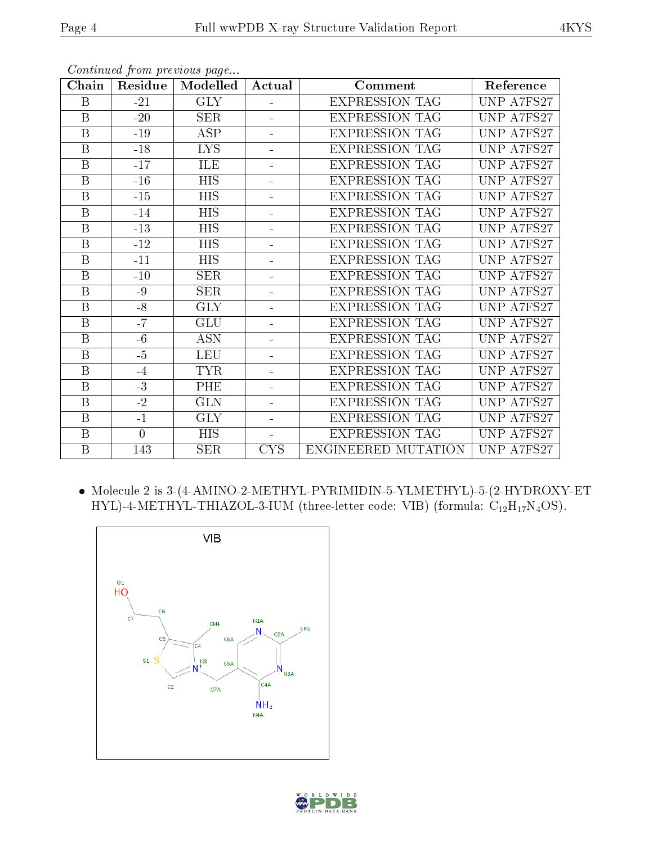|--|--|

| Chain                   | Residue        | Modelled                | Actual                   | Comment               | Reference  |
|-------------------------|----------------|-------------------------|--------------------------|-----------------------|------------|
| B                       | $-21$          | <b>GLY</b>              | ÷,                       | <b>EXPRESSION TAG</b> | UNP A7FS27 |
| $\mathbf B$             | $-20$          | <b>SER</b>              | ÷                        | <b>EXPRESSION TAG</b> | UNP A7FS27 |
| $\overline{B}$          | $-19$          | $\overline{\text{ASP}}$ | L,                       | <b>EXPRESSION TAG</b> | UNP A7FS27 |
| B                       | $-18$          | <b>LYS</b>              | ÷                        | <b>EXPRESSION TAG</b> | UNP A7FS27 |
| $\overline{\mathrm{B}}$ | $-17$          | ILE                     | ÷                        | <b>EXPRESSION TAG</b> | UNP A7FS27 |
| B                       | $-16$          | <b>HIS</b>              | $\overline{a}$           | <b>EXPRESSION TAG</b> | UNP A7FS27 |
| $\mathbf B$             | $-15$          | <b>HIS</b>              | ÷,                       | <b>EXPRESSION TAG</b> | UNP A7FS27 |
| B                       | $-14$          | <b>HIS</b>              |                          | <b>EXPRESSION TAG</b> | UNP A7FS27 |
| B                       | $-13$          | <b>HIS</b>              | ÷,                       | <b>EXPRESSION TAG</b> | UNP A7FS27 |
| $\mathbf B$             | $-12$          | <b>HIS</b>              | -                        | <b>EXPRESSION TAG</b> | UNP A7FS27 |
| $\mathbf B$             | $-11$          | <b>HIS</b>              | L,                       | <b>EXPRESSION TAG</b> | UNP A7FS27 |
| $\overline{\mathrm{B}}$ | $-10$          | SER                     | ÷,                       | <b>EXPRESSION TAG</b> | UNP A7FS27 |
| $\boldsymbol{B}$        | $-9$           | <b>SER</b>              | ÷,                       | <b>EXPRESSION TAG</b> | UNP A7FS27 |
| $\mathbf B$             | $-8$           | <b>GLY</b>              | ÷                        | <b>EXPRESSION TAG</b> | UNP A7FS27 |
| $\mathbf B$             | $-7$           | <b>GLU</b>              | $\equiv$                 | <b>EXPRESSION TAG</b> | UNP A7FS27 |
| $\boldsymbol{B}$        | $-6$           | <b>ASN</b>              | $\overline{a}$           | <b>EXPRESSION TAG</b> | UNP A7FS27 |
| B                       | $-5$           | <b>LEU</b>              |                          | <b>EXPRESSION TAG</b> | UNP A7FS27 |
| $\boldsymbol{B}$        | $-4$           | <b>TYR</b>              | L,                       | <b>EXPRESSION TAG</b> | UNP A7FS27 |
| B                       | $-3$           | <b>PHE</b>              |                          | <b>EXPRESSION TAG</b> | UNP A7FS27 |
| $\overline{B}$          | $-2$           | <b>GLN</b>              | -                        | <b>EXPRESSION TAG</b> | UNP A7FS27 |
| $\overline{B}$          | $-1$           | <b>GLY</b>              | $\overline{\phantom{0}}$ | <b>EXPRESSION TAG</b> | UNP A7FS27 |
| $\overline{\mathbf{B}}$ | $\overline{0}$ | <b>HIS</b>              | $\overline{\phantom{0}}$ | <b>EXPRESSION TAG</b> | UNP A7FS27 |
| $\mathbf B$             | 143            | <b>SER</b>              | <b>CYS</b>               | ENGINEERED MUTATION   | UNP A7FS27 |

Continued from previous page...

 Molecule 2 is 3-(4-AMINO-2-METHYL-PYRIMIDIN-5-YLMETHYL)-5-(2-HYDROXY-ET HYL)-4-METHYL-THIAZOL-3-IUM (three-letter code: VIB) (formula:  $C_{12}H_{17}N_4OS$ ).



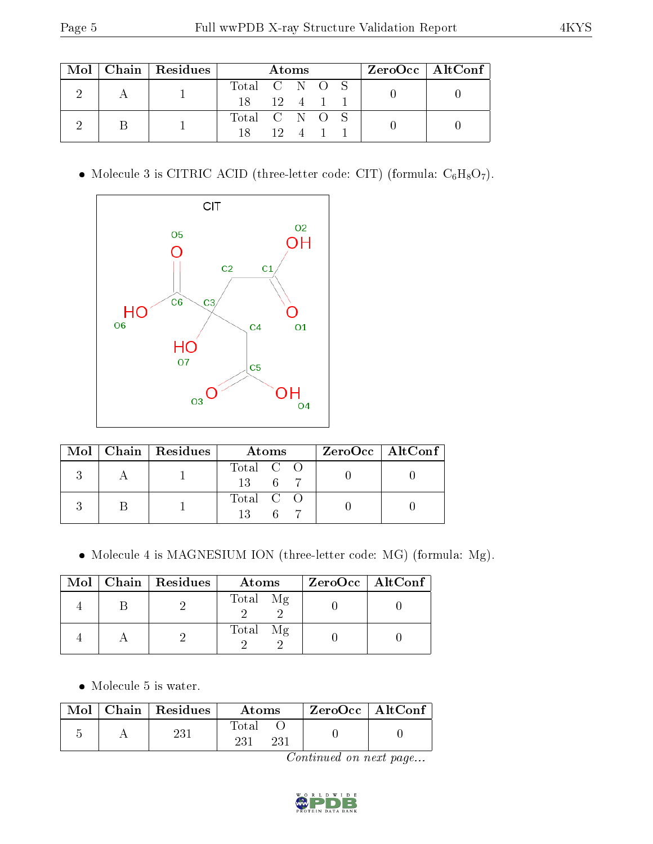|  |  | $Mol$   Chain   Residues |               | Atoms                |  |  | $ZeroOcc \   \ AltConf \  $ |
|--|--|--------------------------|---------------|----------------------|--|--|-----------------------------|
|  |  |                          | Total C N O S |                      |  |  |                             |
|  |  | $18 \t 12 \t 4 \t 1$     |               |                      |  |  |                             |
|  |  |                          | Total C N O S |                      |  |  |                             |
|  |  | 18                       |               | $12 \quad 4 \quad 1$ |  |  |                             |

• Molecule 3 is CITRIC ACID (three-letter code: CIT) (formula:  $C_6H_8O_7$ ).



|  | Mol   Chain   Residues | Atoms           | $\rm ZeroOcc \mid AltConf \mid$ |
|--|------------------------|-----------------|---------------------------------|
|  |                        | Total C O<br>13 |                                 |
|  |                        | Total C O       |                                 |

Molecule 4 is MAGNESIUM ION (three-letter code: MG) (formula: Mg).

|  | $Mol$   Chain   Residues | Atoms    | $ZeroOcc \   \$ AltConf |
|--|--------------------------|----------|-------------------------|
|  |                          | Total Mg |                         |
|  |                          | Total Mg |                         |

• Molecule 5 is water.

|  | $\text{Mol}$   Chain   Residues | Atoms        | ZeroOcc   AltConf |
|--|---------------------------------|--------------|-------------------|
|  | <sup>23</sup>                   | Fotal<br>921 |                   |

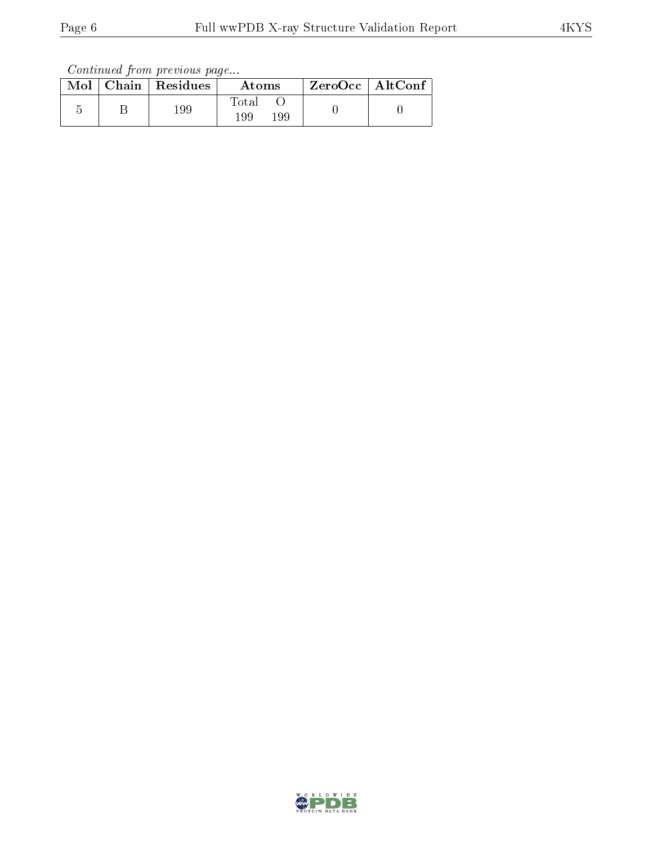Continued from previous page...

|  | Mol   Chain   Residues | Atoms               | $ZeroOcc$   AltConf |  |
|--|------------------------|---------------------|---------------------|--|
|  | 199                    | Total<br>199<br>199 |                     |  |

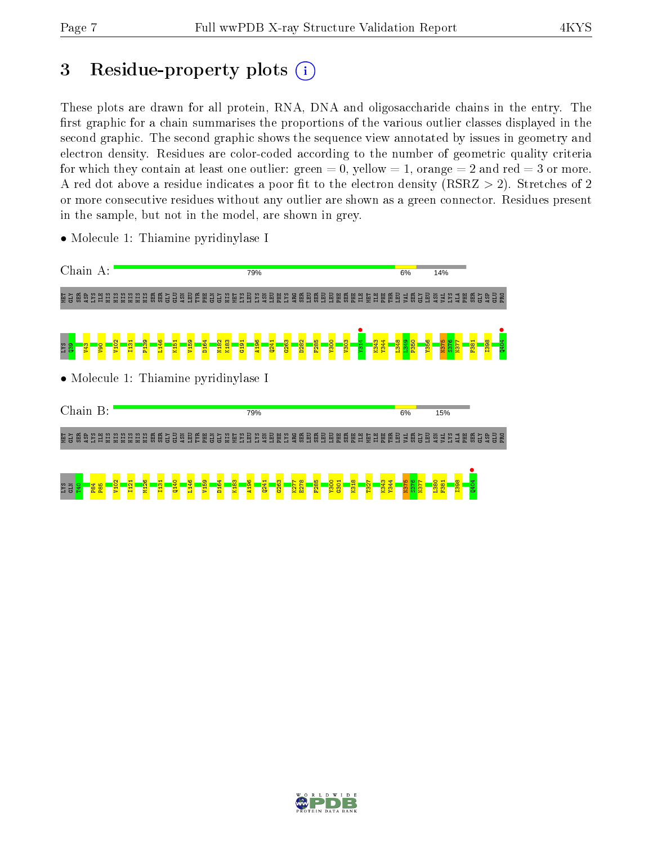# 3 Residue-property plots  $(i)$

These plots are drawn for all protein, RNA, DNA and oligosaccharide chains in the entry. The first graphic for a chain summarises the proportions of the various outlier classes displayed in the second graphic. The second graphic shows the sequence view annotated by issues in geometry and electron density. Residues are color-coded according to the number of geometric quality criteria for which they contain at least one outlier: green  $= 0$ , yellow  $= 1$ , orange  $= 2$  and red  $= 3$  or more. A red dot above a residue indicates a poor fit to the electron density ( $RSRZ > 2$ ). Stretches of 2 or more consecutive residues without any outlier are shown as a green connector. Residues present in the sample, but not in the model, are shown in grey.

• Molecule 1: Thiamine pyridinylase I

 $E_{\parallel}$ 

<mark>a</mark>  $\vert \vec{H} \vert$  $\mathbf{E}$  $\overline{\mathbf{p}}$  $\mathbf{z}$  $\overline{a}$ 

| Chain A:                                                                                                                                                  | 79%                                                                                                                     |                                                                                | 6%                                 | 14%                                                                  |
|-----------------------------------------------------------------------------------------------------------------------------------------------------------|-------------------------------------------------------------------------------------------------------------------------|--------------------------------------------------------------------------------|------------------------------------|----------------------------------------------------------------------|
| <b>EXP</b><br>SX<br>SP<br><b>AS</b><br><b>CONGER CONGE</b><br>ដូឌី<br>팋                                                                                   |                                                                                                                         |                                                                                |                                    | <b>BER</b><br><b>ŠĀRĪ NE</b><br>GLY                                  |
| L <sub>146</sub><br>P <sub>139</sub><br>131<br>K151<br>V <sub>102</sub><br><b>OGN</b><br>g <sub>b</sub><br>នីន្ទ<br>• Molecule 1: Thiamine pyridinylase I | <b>D164</b><br>N182<br>K183<br>A196<br><u>p282</u><br>V <sub>159</sub><br>6263<br>$\frac{161}{2}$<br>$Q^{241}$          | <b>R943</b><br>Y344<br><b>OOSX</b><br>F <sub>285</sub><br>$\frac{1}{303}$<br>à | 665<br>1946<br><b>1356</b><br>P350 | F381<br><b>1251</b><br>$\overline{\text{MST}}$<br><b>BSCI</b><br>Q40 |
| Chain B:                                                                                                                                                  | 79%                                                                                                                     |                                                                                | 6%                                 | 15%                                                                  |
| 圍                                                                                                                                                         | <u> 흥현 총 볶 耳 띎 띎 띎 띎 띎 텲 렮 협 흙 릴 릴 릴 릴 릴 릴 림 了 릴 힘 딣 릴 질 집 이 이 일 일 일 일 일 일 일 리 라 티 라 티 티 리 리 티 컬 티 털 릭 티 티 티 티 리 티</u>  |                                                                                |                                    |                                                                      |
| a.<br>ম<br>N.<br>$\overline{\mathbf{5}}$<br><b>N<sub>102</sub></b><br><b>RBS</b><br><b>P84</b><br>GLN<br><b>SXT</b><br>$^{940}$<br>룜                      | V <sub>159</sub><br>D <sub>164</sub><br>K <sub>183</sub><br>$8^{\circ}$<br>¥<br>0241<br>$\frac{63}{263}$<br>ġ<br>ε<br>튛 | <b>Y300</b><br>K318<br><b>1344</b><br><b>ST</b><br>6301<br>F28<br>T32.         | S376<br><u>usu</u><br>ġ            | <b>380</b><br>F381<br><b>ESSE</b><br>$\circ$<br>홈                    |

 $\mathbf{g}$ 

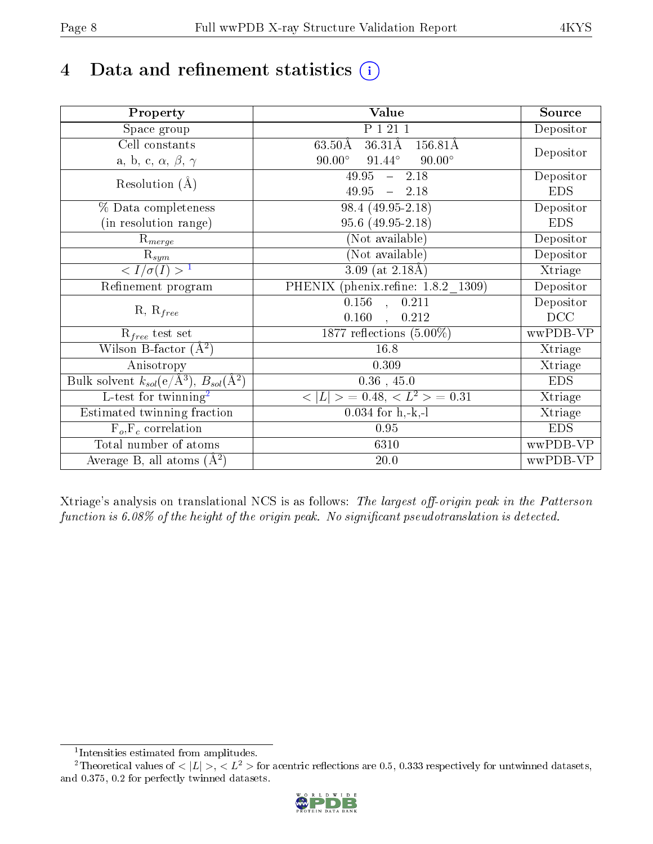# 4 Data and refinement statistics  $(i)$

| Property                                                             | Value                                                | Source                       |
|----------------------------------------------------------------------|------------------------------------------------------|------------------------------|
| Space group                                                          | P 1 21 1                                             | Depositor                    |
| Cell constants                                                       | $63.50\text{\AA}$<br>36.31Å<br>$\overline{156.81}$ Å |                              |
| a, b, c, $\alpha$ , $\beta$ , $\gamma$                               | $90.00^\circ$<br>$91.44^\circ$<br>$90.00^\circ$      | Depositor                    |
| Resolution $(A)$                                                     | 49.95<br>$-2.18$                                     | Depositor                    |
|                                                                      | 49.95<br>$-2.18$                                     | <b>EDS</b>                   |
| % Data completeness                                                  | 98.4 (49.95-2.18)                                    | Depositor                    |
| (in resolution range)                                                | 95.6 (49.95-2.18)                                    | <b>EDS</b>                   |
| $R_{merge}$                                                          | (Not available)                                      | Depositor                    |
| $\mathrm{R}_{sym}$                                                   | (Not available)                                      | Depositor                    |
| $\langle I/\sigma(I) \rangle^{-1}$                                   | 3.09 (at $2.18\text{\AA}$ )                          | Xtriage                      |
| Refinement program                                                   | PHENIX (phenix.refine: 1.8.2 1309)                   | Depositor                    |
|                                                                      | $\overline{0.156}$ ,<br>0.211                        | Depositor                    |
| $R, R_{free}$                                                        | 0.160<br>$\mathbb{R}^2$<br>0.212                     | DCC                          |
| $R_{free}$ test set                                                  | 1877 reflections $(5.00\%)$                          | wwPDB-VP                     |
| Wilson B-factor $(A^2)$                                              | 16.8                                                 | Xtriage                      |
| Anisotropy                                                           | 0.309                                                | Xtriage                      |
| Bulk solvent $k_{sol}(e/\mathring{A}^3)$ , $B_{sol}(\mathring{A}^2)$ | $0.36$ , 45.0                                        | <b>EDS</b>                   |
| L-test for twinning <sup>2</sup>                                     | $< L >$ = 0.48, $< L2$ = 0.31                        | $\overline{\text{X}}$ triage |
| Estimated twinning fraction                                          | $0.034$ for h,-k,-l                                  | Xtriage                      |
| $F_o, F_c$ correlation                                               | 0.95                                                 | <b>EDS</b>                   |
| Total number of atoms                                                | 6310                                                 | wwPDB-VP                     |
| Average B, all atoms $(A^2)$                                         | 20.0                                                 | wwPDB-VP                     |

Xtriage's analysis on translational NCS is as follows: The largest off-origin peak in the Patterson function is  $6.08\%$  of the height of the origin peak. No significant pseudotranslation is detected.

<sup>&</sup>lt;sup>2</sup>Theoretical values of  $\langle |L| \rangle$ ,  $\langle L^2 \rangle$  for acentric reflections are 0.5, 0.333 respectively for untwinned datasets, and 0.375, 0.2 for perfectly twinned datasets.



<span id="page-7-1"></span><span id="page-7-0"></span><sup>1</sup> Intensities estimated from amplitudes.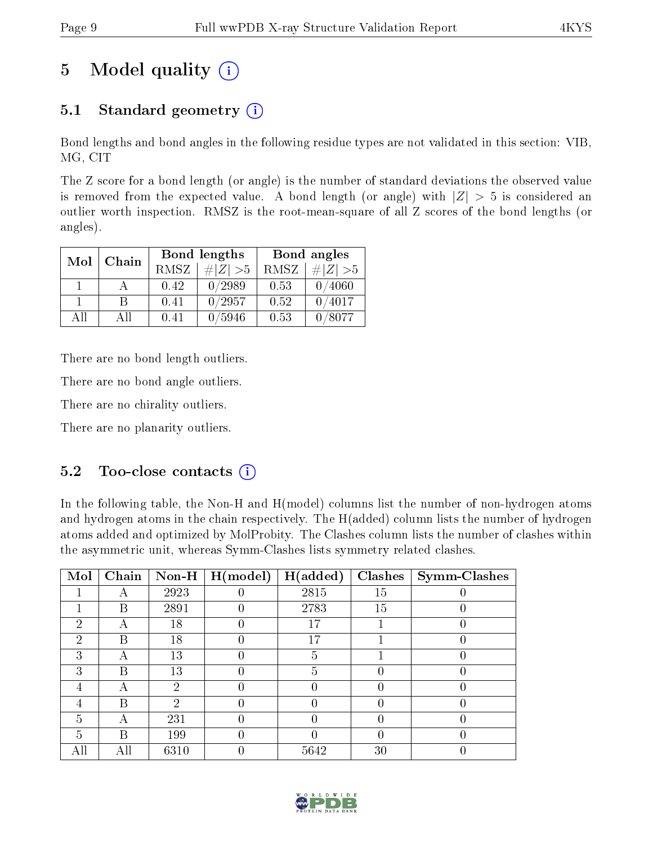# 5 Model quality  $(i)$

# 5.1 Standard geometry  $(i)$

Bond lengths and bond angles in the following residue types are not validated in this section: VIB, MG, CIT

The Z score for a bond length (or angle) is the number of standard deviations the observed value is removed from the expected value. A bond length (or angle) with  $|Z| > 5$  is considered an outlier worth inspection. RMSZ is the root-mean-square of all Z scores of the bond lengths (or angles).

| Mol | Chain |          | Bond lengths | Bond angles |             |  |
|-----|-------|----------|--------------|-------------|-------------|--|
|     |       | RMSZ     | $\# Z  > 5$  | RMSZ        | $\ Z\  > 5$ |  |
|     |       | 0.42     | 0/2989       | 0.53        | 0/4060      |  |
|     | R     | $0.41\,$ | 0/2957       | 0.52        | 0/4017      |  |
| ΔH  | A II  | 0.41     | 5946         | 0.53        | /8077       |  |

There are no bond length outliers.

There are no bond angle outliers.

There are no chirality outliers.

There are no planarity outliers.

### $5.2$  Too-close contacts  $\binom{1}{1}$

In the following table, the Non-H and H(model) columns list the number of non-hydrogen atoms and hydrogen atoms in the chain respectively. The H(added) column lists the number of hydrogen atoms added and optimized by MolProbity. The Clashes column lists the number of clashes within the asymmetric unit, whereas Symm-Clashes lists symmetry related clashes.

| Mol                         | Chain |      | Non-H $\mid$ H(model) | H(added) | <b>Clashes</b> | Symm-Clashes |
|-----------------------------|-------|------|-----------------------|----------|----------------|--------------|
|                             |       | 2923 |                       | 2815     | 15             |              |
|                             | В     | 2891 |                       | 2783     | 15             |              |
| $\mathcal{D}$               |       | 18   |                       | 17       |                |              |
| $\mathcal{D}_{\mathcal{L}}$ | B     | 18   |                       | 17       |                |              |
| 3                           | А     | 13   |                       | 5        |                |              |
| 3                           | В     | 13   |                       | 5        |                |              |
| 4                           |       | 2    |                       |          |                |              |
|                             | В     | 2    |                       |          |                |              |
| 5                           | А     | 231  |                       |          |                |              |
| 5                           | В     | 199  |                       |          |                |              |
|                             | All   | 6310 |                       | 5642     | 30             |              |

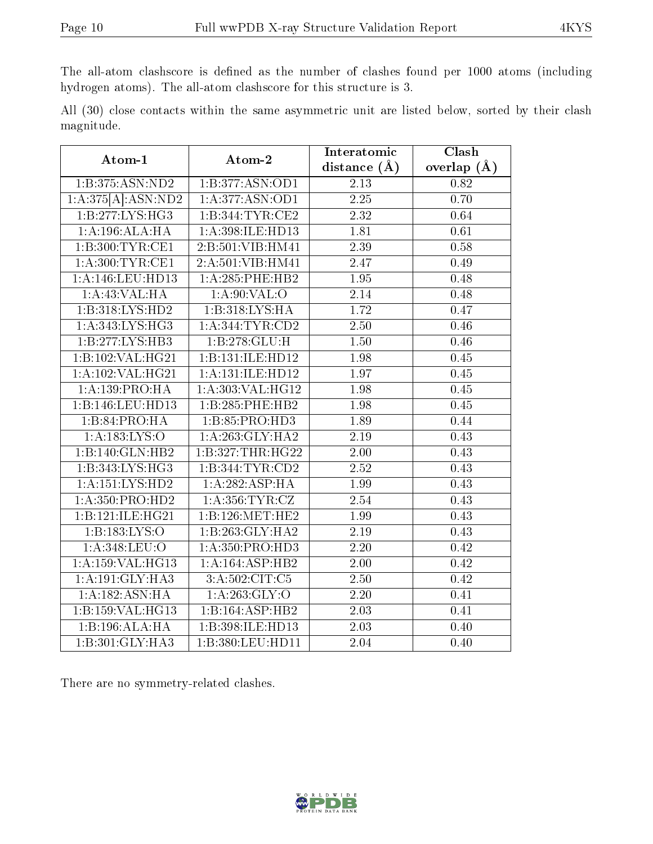The all-atom clashscore is defined as the number of clashes found per 1000 atoms (including hydrogen atoms). The all-atom clashscore for this structure is 3.

All (30) close contacts within the same asymmetric unit are listed below, sorted by their clash magnitude.

| Atom-1              | Atom-2              | Interatomic       | Clash             |
|---------------------|---------------------|-------------------|-------------------|
|                     |                     | distance $(A)$    | overlap $(A)$     |
| 1:B:375:ASN:ND2     | 1:B:377:ASN:OD1     | 2.13              | 0.82              |
| 1:A:375[A]:ASN:ND2  | 1:A:377:ASN:OD1     | $2.25\,$          | 0.70              |
| 1:B:277:LYS:HG3     | 1:B:344:TYR:CE2     | 2.32              | 0.64              |
| 1:A:196:ALA:HA      | 1:A:398:ILE:HD13    | 1.81              | 0.61              |
| 1:B:300:TYR:CE1     | 2:B:501:VIB:HM41    | 2.39              | 0.58              |
| 1: A:300:TYR:CE1    | 2:A:501:VIB:HM41    | 2.47              | 0.49              |
| 1:A:146:LEU:HD13    | 1:A:285:PHE:HB2     | 1.95              | 0.48              |
| 1:A:43:VAL:HA       | 1: A:90: VAL:O      | 2.14              | 0.48              |
| 1:B:318:LYS:HD2     | 1:B:318:LYS:HA      | 1.72              | 0.47              |
| 1: A:343: LYS: HG3  | 1: A: 344: TYR: CD2 | 2.50              | 0.46              |
| 1:B:277:LYS:HB3     | 1:B:278:GLU:H       | 1.50              | 0.46              |
| 1:B:102:VAL:HG21    | 1:B:131:ILE:HD12    | 1.98              | 0.45              |
| 1:A:102:VAL:HG21    | 1:A:131:ILE:HD12    | 1.97              | 0.45              |
| 1: A: 139: PRO: HA  | 1: A:303: VAL:HG12  | 1.98              | 0.45              |
| 1:B:146:LEU:HD13    | 1:B:285:PHE:HB2     | 1.98              | 0.45              |
| 1:B:84:PRO:HA       | 1:B:85:PRO:HD3      | 1.89              | 0.44              |
| 1: A: 183: LYS: O   | 1:A:263:GLY:HA2     | 2.19              | 0.43              |
| 1:B:140:GLN:HB2     | 1:B:327:THR:HG22    | 2.00              | 0.43              |
| 1:B:343:LYS:HG3     | 1:B:344:TYR:CD2     | 2.52              | 0.43              |
| 1:A:151:LYS:HD2     | 1:A:282:ASP:HA      | 1.99              | $\overline{0.43}$ |
| 1: A: 350: PRO: HD2 | 1: A: 356: TYR: CZ  | 2.54              | 0.43              |
| 1:B:121:ILE:HG21    | 1:B:126:MET:HE2     | 1.99              | 0.43              |
| 1:B:183:LYS:O       | 1:B:263:GLY:HA2     | 2.19              | 0.43              |
| 1: A: 348: LEU:O    | 1: A: 350: PRO: HD3 | $\overline{2.20}$ | $\overline{0.42}$ |
| 1:A:159:VAL:HG13    | 1:A:164:ASP:HB2     | 2.00              | 0.42              |
| 1: A:191: GLY:HA3   | 3:A:502:CIT:C5      | 2.50              | 0.42              |
| 1:A:182:ASN:HA      | 1: A:263: GLY:O     | 2.20              | 0.41              |
| 1:B:159:VAL:HG13    | 1:B:164:ASP:HB2     | 2.03              | 0.41              |
| 1:B:196:ALA:HA      | 1:B:398:ILE:HD13    | 2.03              | 0.40              |
| 1:B:301:GLY:HA3     | 1:B:380:LEU:HD11    | 2.04              | 0.40              |

There are no symmetry-related clashes.

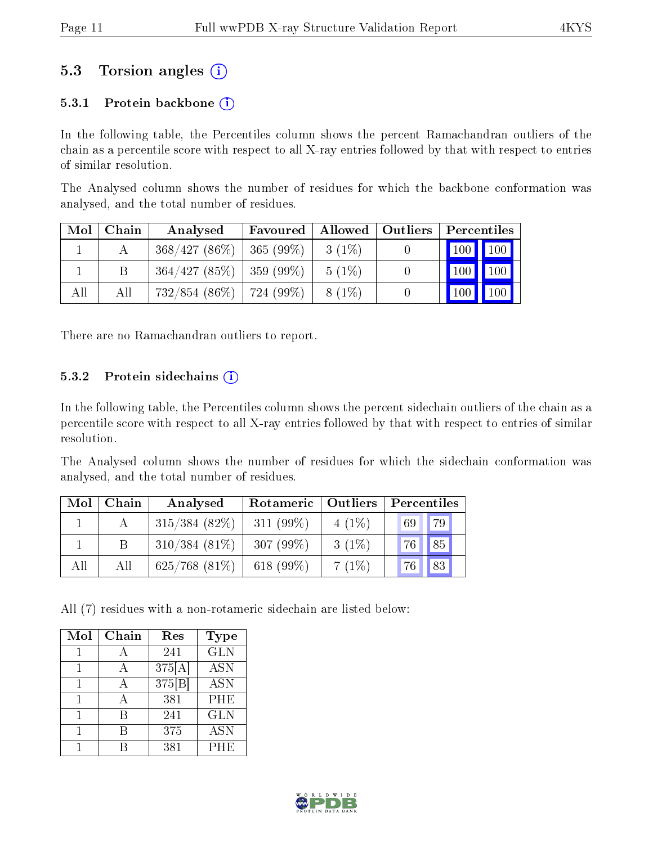### 5.3 Torsion angles (i)

#### 5.3.1 Protein backbone  $(i)$

In the following table, the Percentiles column shows the percent Ramachandran outliers of the chain as a percentile score with respect to all X-ray entries followed by that with respect to entries of similar resolution.

The Analysed column shows the number of residues for which the backbone conformation was analysed, and the total number of residues.

| Mol | Chain | Analysed                      | Favoured     | Allowed  | $\vert$ Outliers | Percentiles                  |     |
|-----|-------|-------------------------------|--------------|----------|------------------|------------------------------|-----|
|     |       | 368/427(86%)                  | $ 365(99\%)$ | $3(1\%)$ |                  | $\mid$ 100 $\mid$ 100 $\mid$ |     |
|     |       | $364/427$ (85\%)   359 (99\%) |              | $5(1\%)$ |                  | 100                          | 100 |
| All | All   | $732/854$ (86\%)   724 (99\%) |              | 8 (1\%)  |                  | $100 \mid$                   | 100 |

There are no Ramachandran outliers to report.

#### 5.3.2 Protein sidechains  $(i)$

In the following table, the Percentiles column shows the percent sidechain outliers of the chain as a percentile score with respect to all X-ray entries followed by that with respect to entries of similar resolution.

The Analysed column shows the number of residues for which the sidechain conformation was analysed, and the total number of residues.

| Mol | Chain | Analysed         | Rotameric   Outliers |          | Percentiles |
|-----|-------|------------------|----------------------|----------|-------------|
|     |       | $315/384(82\%)$  | $311(99\%)$          | $4(1\%)$ | 79<br>69    |
|     |       | $310/384(81\%)$  | 307 $(99\%)$         | $3(1\%)$ | 85<br>76    |
| All | All   | $625/768$ (81\%) | 618 $(99\%)$         | 7(1%)    | 83<br>76    |

All (7) residues with a non-rotameric sidechain are listed below:

| Mol | Chain | Res    | <b>Type</b>      |
|-----|-------|--------|------------------|
|     |       | 241    | $\overline{GLN}$ |
|     |       | 375[A] | <b>ASN</b>       |
|     |       | 375[B] | <b>ASN</b>       |
|     |       | 381    | <b>PHE</b>       |
|     | R     | 241    | <b>GLN</b>       |
|     |       | 375    | <b>ASN</b>       |
|     |       | 381    | PHE              |

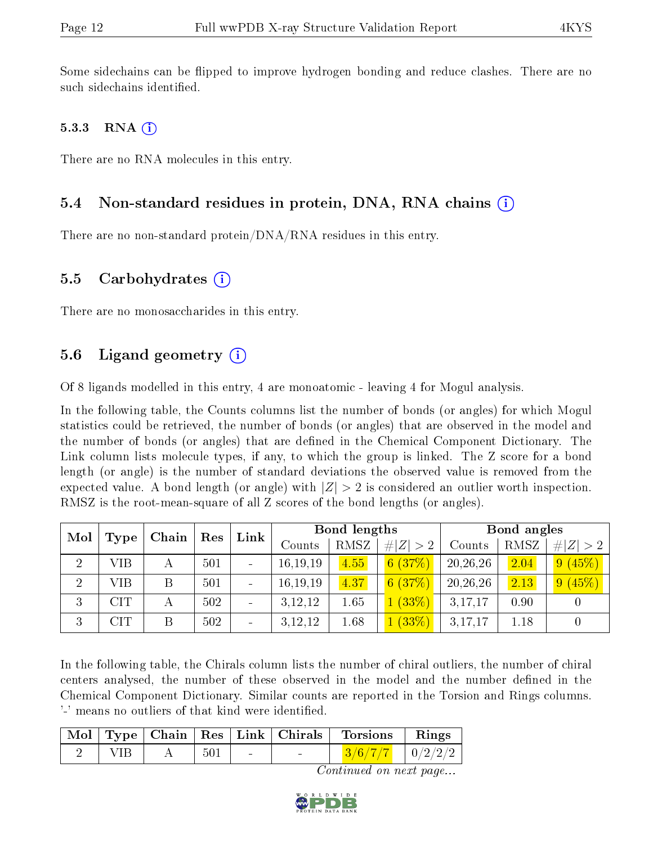Some sidechains can be flipped to improve hydrogen bonding and reduce clashes. There are no such sidechains identified.

#### 5.3.3 RNA  $(i)$

There are no RNA molecules in this entry.

### 5.4 Non-standard residues in protein, DNA, RNA chains (i)

There are no non-standard protein/DNA/RNA residues in this entry.

#### 5.5 Carbohydrates  $(i)$

There are no monosaccharides in this entry.

### 5.6 Ligand geometry  $(i)$

Of 8 ligands modelled in this entry, 4 are monoatomic - leaving 4 for Mogul analysis.

In the following table, the Counts columns list the number of bonds (or angles) for which Mogul statistics could be retrieved, the number of bonds (or angles) that are observed in the model and the number of bonds (or angles) that are dened in the Chemical Component Dictionary. The Link column lists molecule types, if any, to which the group is linked. The Z score for a bond length (or angle) is the number of standard deviations the observed value is removed from the expected value. A bond length (or angle) with  $|Z| > 2$  is considered an outlier worth inspection. RMSZ is the root-mean-square of all Z scores of the bond lengths (or angles).

| Mol            |            | Chain | Res | Link           |            | Bond lengths |             |          | Bond angles |                |
|----------------|------------|-------|-----|----------------|------------|--------------|-------------|----------|-------------|----------------|
|                | Type       |       |     |                | Counts     | RMSZ         | # $ Z  > 2$ | Counts   | RMSZ        | $ Z >2$  <br># |
| $\overline{2}$ | VIB        | A     | 501 | $\blacksquare$ | 16, 19, 19 | 4.55         | 6(37%)      | 20,26,26 | 2.04        | 9(45%)         |
| $\overline{2}$ | VIB        | B     | 501 |                | 16, 19, 19 | 4.37         | 6(37%)      | 20,26,26 | 2.13        | 9(45%)         |
| 3              | <b>CIT</b> | А     | 502 |                | 3, 12, 12  | 1.65         | 1(33%)      | 3,17,17  | 0.90        |                |
| 3              | <b>CIT</b> |       | 502 | $\blacksquare$ | 3,12,12    | 1.68         | 1(33%)      | 3,17,17  | 1.18        |                |

In the following table, the Chirals column lists the number of chiral outliers, the number of chiral centers analysed, the number of these observed in the model and the number defined in the Chemical Component Dictionary. Similar counts are reported in the Torsion and Rings columns. '-' means no outliers of that kind were identified.

|  |     |  | $\mid$ Mol $\mid$ Type $\mid$ Chain $\mid$ Res $\mid$ Link $\mid$ Chirals $\mid$ Torsions | Rings |
|--|-----|--|-------------------------------------------------------------------------------------------|-------|
|  | 501 |  | $3/6/7/7$   0/2/2/2                                                                       |       |

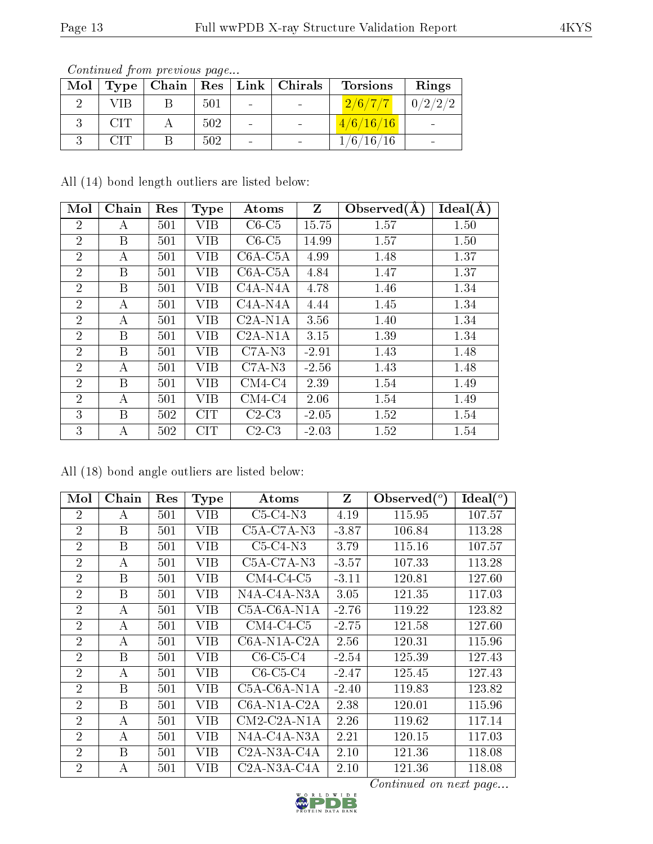| Mol | <b>Type</b> | $\mid$ Chain $\mid$ |     |                          | Res   Link   Chirals | <b>Torsions</b> | Rings   |
|-----|-------------|---------------------|-----|--------------------------|----------------------|-----------------|---------|
|     | VIB         |                     | 501 | $\sim$                   |                      | 2/6/7/7         | 0/2/2/2 |
|     | CИ          |                     | 502 | $\overline{\phantom{0}}$ |                      | 4/6/16/16       |         |
|     |             |                     | 502 | $\sim$                   |                      | 1/6/16/16       |         |

Continued from previous page...

All (14) bond length outliers are listed below:

| Mol            | Chain | Res | <b>Type</b> | Atoms                             | Z       | Observed $(A)$ | Ideal $(A)$ |
|----------------|-------|-----|-------------|-----------------------------------|---------|----------------|-------------|
| $\overline{2}$ | А     | 501 | VIB         | $C6-C5$                           | 15.75   | 1.57           | 1.50        |
| $\overline{2}$ | B     | 501 | VIB         | $C6-C5$                           | 14.99   | 1.57           | 1.50        |
| $\overline{2}$ | А     | 501 | VІВ         | $C6A-C5A$                         | 4.99    | 1.48           | 1.37        |
| $\overline{2}$ | B     | 501 | VIB         | $C6A-C5A$                         | 4.84    | 1.47           | 1.37        |
| $\overline{2}$ | B     | 501 | VIB         | $C4A-NA$                          | 4.78    | 1.46           | 1.34        |
| $\overline{2}$ | А     | 501 | VIB         | C <sub>4</sub> A-N <sub>4</sub> A | 4.44    | 1.45           | 1.34        |
| $\overline{2}$ | А     | 501 | VIB         | $C2A-N1A$                         | 3.56    | 1.40           | 1.34        |
| $\overline{2}$ | B     | 501 | VIB         | $C2A-N1A$                         | 3.15    | 1.39           | 1.34        |
| $\overline{2}$ | B     | 501 | VIB         | $C7A-N3$                          | $-2.91$ | 1.43           | 1.48        |
| $\overline{2}$ | А     | 501 | VIB         | $C7A-N3$                          | $-2.56$ | 1.43           | 1.48        |
| $\overline{2}$ | B     | 501 | VIB         | $CM4-C4$                          | 2.39    | 1.54           | 1.49        |
| $\overline{2}$ | А     | 501 | VIB         | $CM4-C4$                          | 2.06    | 1.54           | 1.49        |
| 3              | B     | 502 | <b>CIT</b>  | $C2-C3$                           | $-2.05$ | 1.52           | 1.54        |
| 3              | А     | 502 | CIT         | $C2-C3$                           | $-2.03$ | 1.52           | 1.54        |

All (18) bond angle outliers are listed below:

| Mol            | Chain | Res | <b>Type</b> | $\rm{Atoms}$                                       | Z       | Observed $(°)$         | Ideal <sup>(o)</sup> |
|----------------|-------|-----|-------------|----------------------------------------------------|---------|------------------------|----------------------|
| 2              | А     | 501 | VIB         | $C5-C4-N3$                                         | 4.19    | 115.95                 | 107.57               |
| $\overline{2}$ | B     | 501 | VІВ         | $C5A-C7A-N3$                                       | $-3.87$ | 106.84                 | 113.28               |
| $\overline{2}$ | B     | 501 | VIB         | $C5-C4-N3$                                         | 3.79    | 115.16                 | 107.57               |
| $\overline{2}$ | А     | 501 | VIB         | $C5A-C7A-N3$                                       | $-3.57$ | 107.33                 | 113.28               |
| $\overline{2}$ | B     | 501 | VIB         | $CM4$ -C4-C5                                       | $-3.11$ | 120.81                 | 127.60               |
| $\overline{2}$ | B     | 501 | VIB         | N4A-C4A-N3A                                        | 3.05    | 121.35                 | 117.03               |
| $\overline{2}$ | А     | 501 | VIB         | C5A-C6A-N1A                                        | $-2.76$ | 119.22                 | 123.82               |
| $\overline{2}$ | А     | 501 | VIB         | $CM4$ -C4-C5                                       | $-2.75$ | 121.58                 | 127.60               |
| $\overline{2}$ | А     | 501 | VIB         | C6A-N1A-C2A                                        | 2.56    | 120.31                 | 115.96               |
| $\overline{2}$ | B     | 501 | VIB         | $C6-C5-C4$                                         | $-2.54$ | 125.39                 | 127.43               |
| $\overline{2}$ | А     | 501 | VIB         | $C6-C5-C4$                                         | $-2.47$ | 125.45                 | 127.43               |
| $\overline{2}$ | B     | 501 | VIB         | C5A-C6A-N1A                                        | $-2.40$ | 119.83                 | 123.82               |
| $\overline{2}$ | B     | 501 | VIB         | C6A-N1A-C2A                                        | 2.38    | 120.01                 | 115.96               |
| $\overline{2}$ | A     | 501 | VІВ         | $CM2$ -C <sub>2</sub> A-N <sub>1</sub> A           | 2.26    | 119.62                 | 117.14               |
| $\overline{2}$ | А     | 501 | VIB         | N4A-C4A-N3A                                        | 2.21    | 120.15                 | 117.03               |
| $\overline{2}$ | B     | 501 | VIB         | C <sub>2</sub> A-N <sub>3</sub> A-C <sub>4</sub> A | 2.10    | 121.36                 | 118.08               |
| $\overline{2}$ | А     | 501 | VIB         | $C2A-NSA-CAA$                                      | 2.10    | 121.36                 | 118.08               |
|                |       |     |             |                                                    |         | Continued on next page |                      |

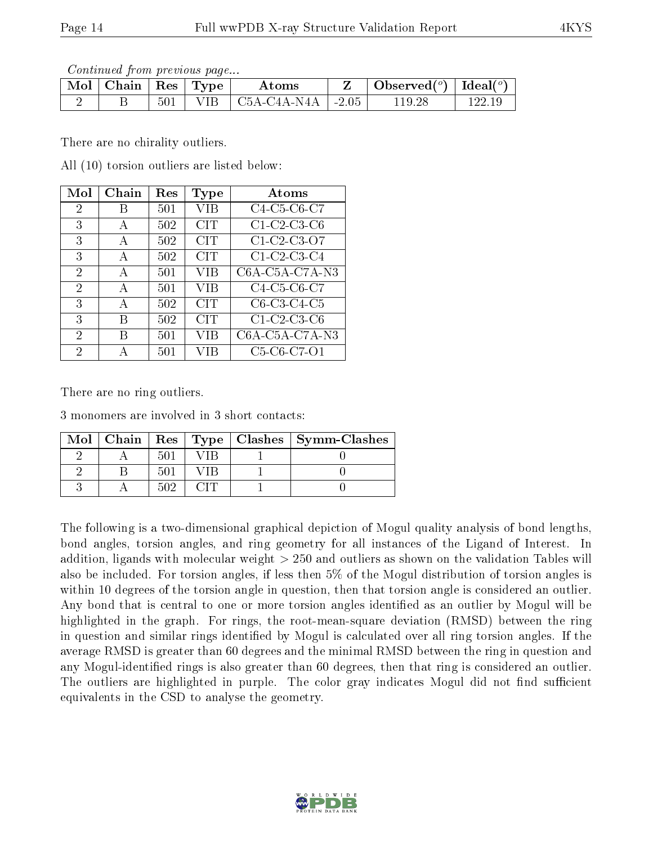Continued from previous page...

| Mol | $\mid$ Chain $\mid$ |     | $\parallel$ Res $\parallel$ Type $\perp$ | Atoms                               | Observed $(^\circ)$   Ideal $(^\circ)$ |        |
|-----|---------------------|-----|------------------------------------------|-------------------------------------|----------------------------------------|--------|
|     |                     | 501 |                                          | VIB $\mid$ C5A-C4A-N4A $\mid$ -2.05 | 119.                                   | 122-19 |

There are no chirality outliers.

All (10) torsion outliers are listed below:

| Mol | Chain | $\operatorname{Res}% \left( \mathcal{N}\right) \equiv\operatorname{Res}(\mathcal{N}_{0},\mathcal{N}_{0})$ | Type       | Atoms            |
|-----|-------|-----------------------------------------------------------------------------------------------------------|------------|------------------|
| 2   | В     | 501                                                                                                       | VIB        | C4-C5-C6-C7      |
| 3   | А     | 502                                                                                                       | <b>CIT</b> | $C1-C2-C3-C6$    |
| 3   | A     | 502                                                                                                       | <b>CIT</b> | C1-C2-C3-O7      |
| 3   | А     | 502                                                                                                       | <b>CIT</b> | $C1-C2-C3-C4$    |
| 2   | A     | 501                                                                                                       | <b>VIB</b> | $C6A-C5A-C7A-N3$ |
| 2   | A     | 501                                                                                                       | VIB        | C4-C5-C6-C7      |
| 3   | А     | 502                                                                                                       | <b>CIT</b> | $C6-C3-C4-C5$    |
| 3   | В     | 502                                                                                                       | <b>CIT</b> | $C1-C2-C3-C6$    |
| 2   | В     | 501                                                                                                       | VIB        | C6A-C5A-C7A-N3   |
| 2   |       | 501                                                                                                       | VIB        | C5-C6-C7-O1      |

There are no ring outliers.

3 monomers are involved in 3 short contacts:

| Mol |     |  | Chain   Res   Type   Clashes   Symm-Clashes |
|-----|-----|--|---------------------------------------------|
|     | 50  |  |                                             |
|     | 50. |  |                                             |
|     | 502 |  |                                             |

The following is a two-dimensional graphical depiction of Mogul quality analysis of bond lengths, bond angles, torsion angles, and ring geometry for all instances of the Ligand of Interest. In addition, ligands with molecular weight > 250 and outliers as shown on the validation Tables will also be included. For torsion angles, if less then 5% of the Mogul distribution of torsion angles is within 10 degrees of the torsion angle in question, then that torsion angle is considered an outlier. Any bond that is central to one or more torsion angles identified as an outlier by Mogul will be highlighted in the graph. For rings, the root-mean-square deviation (RMSD) between the ring in question and similar rings identified by Mogul is calculated over all ring torsion angles. If the average RMSD is greater than 60 degrees and the minimal RMSD between the ring in question and any Mogul-identied rings is also greater than 60 degrees, then that ring is considered an outlier. The outliers are highlighted in purple. The color gray indicates Mogul did not find sufficient equivalents in the CSD to analyse the geometry.

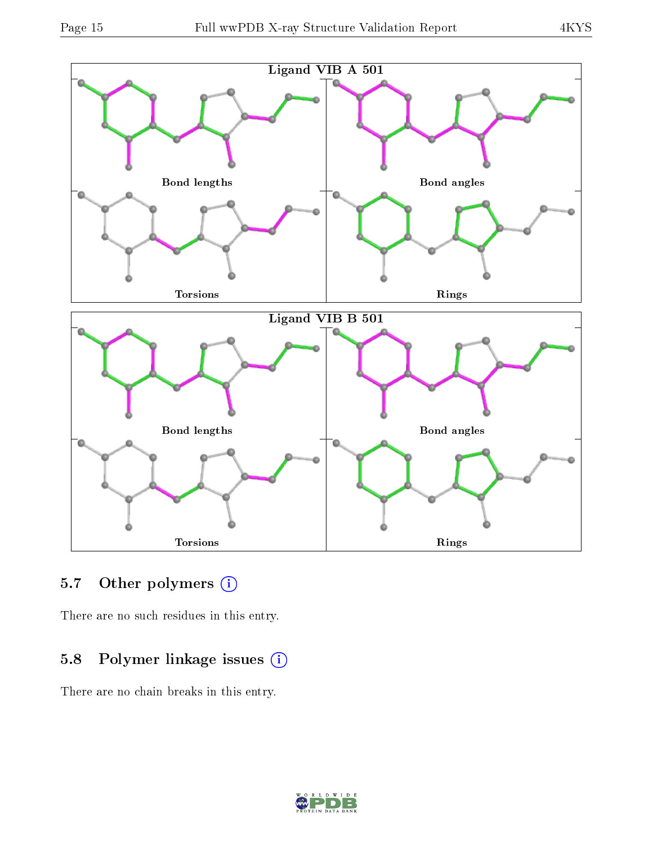

### 5.7 [O](https://www.wwpdb.org/validation/2017/XrayValidationReportHelp#nonstandard_residues_and_ligands)ther polymers (i)

There are no such residues in this entry.

## 5.8 Polymer linkage issues (i)

There are no chain breaks in this entry.

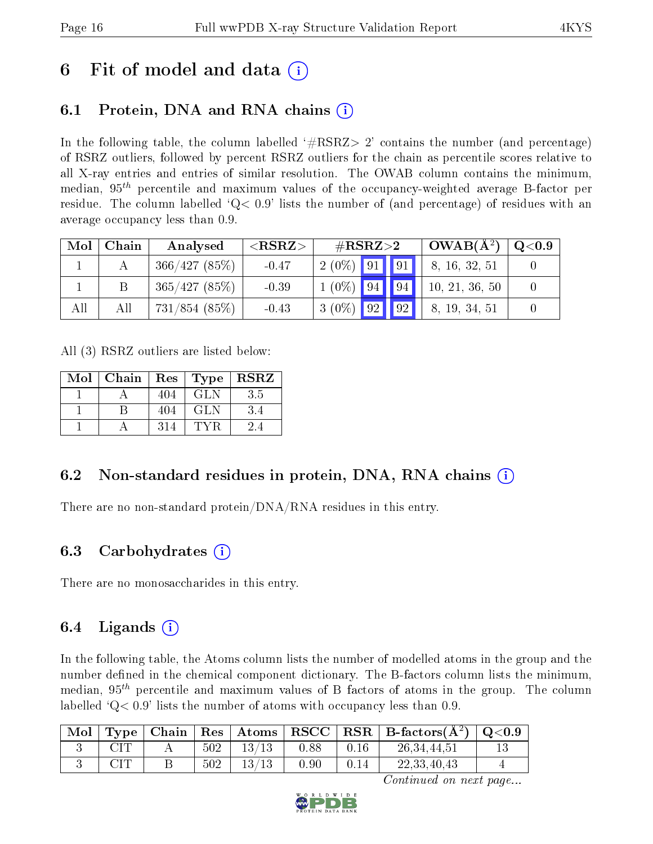# 6 Fit of model and data  $\circ$

# 6.1 Protein, DNA and RNA chains (i)

In the following table, the column labelled  $#RSRZ>2'$  contains the number (and percentage) of RSRZ outliers, followed by percent RSRZ outliers for the chain as percentile scores relative to all X-ray entries and entries of similar resolution. The OWAB column contains the minimum, median,  $95<sup>th</sup>$  percentile and maximum values of the occupancy-weighted average B-factor per residue. The column labelled  $Q < 0.9$  lists the number of (and percentage) of residues with an average occupancy less than 0.9.

| Mol | Chain | Analysed        | ${ <\hspace{-1.5pt}{\mathrm{RSRZ}} \hspace{-1.5pt}>}$ | $\#\text{RSRZ}\text{>2}$ |  | $OWAB(A^2)$ | $\rm Q\textcolor{black}{<}0.9$ |  |
|-----|-------|-----------------|-------------------------------------------------------|--------------------------|--|-------------|--------------------------------|--|
|     |       | 366/427(85%)    | $-0.47$                                               | $2(0\%)$ 91 91           |  |             | 8, 16, 32, 51                  |  |
|     |       | 365/427(85%)    | $-0.39$                                               | $1(0\%)$ 94 94           |  |             | 10, 21, 36, 50                 |  |
| All | Αll   | $731/854$ (85%) | $-0.43$                                               | $3(0\%)$ 92 92           |  |             | 8, 19, 34, 51                  |  |

All (3) RSRZ outliers are listed below:

| Mol | Chain | Res | Type       | <b>RSRZ</b> |
|-----|-------|-----|------------|-------------|
|     |       | 404 | <b>GLN</b> | 3.5         |
|     |       | 404 | GLN        | 3.4         |
|     |       | 314 |            |             |

# 6.2 Non-standard residues in protein, DNA, RNA chains (i)

There are no non-standard protein/DNA/RNA residues in this entry.

### 6.3 Carbohydrates (i)

There are no monosaccharides in this entry.

### 6.4 Ligands  $(i)$

In the following table, the Atoms column lists the number of modelled atoms in the group and the number defined in the chemical component dictionary. The B-factors column lists the minimum, median,  $95<sup>th</sup>$  percentile and maximum values of B factors of atoms in the group. The column labelled  $Q< 0.9$  lists the number of atoms with occupancy less than 0.9.

| $\mid$ Mol | $\Gamma$ Type |     |       |      | $\mid$ Chain $\mid$ Res $\mid$ Atoms $\mid$ RSCC $\mid$ RSR $\mid$ B-factors(A <sup>2</sup> ) $\mid$ Q<0.9 |  |
|------------|---------------|-----|-------|------|------------------------------------------------------------------------------------------------------------|--|
|            |               | 502 | 13/13 | 0.88 | 26, 34, 44, 51                                                                                             |  |
|            | $\cap$ T      | 502 | 13/13 | 0.90 | 22,33,40,43                                                                                                |  |

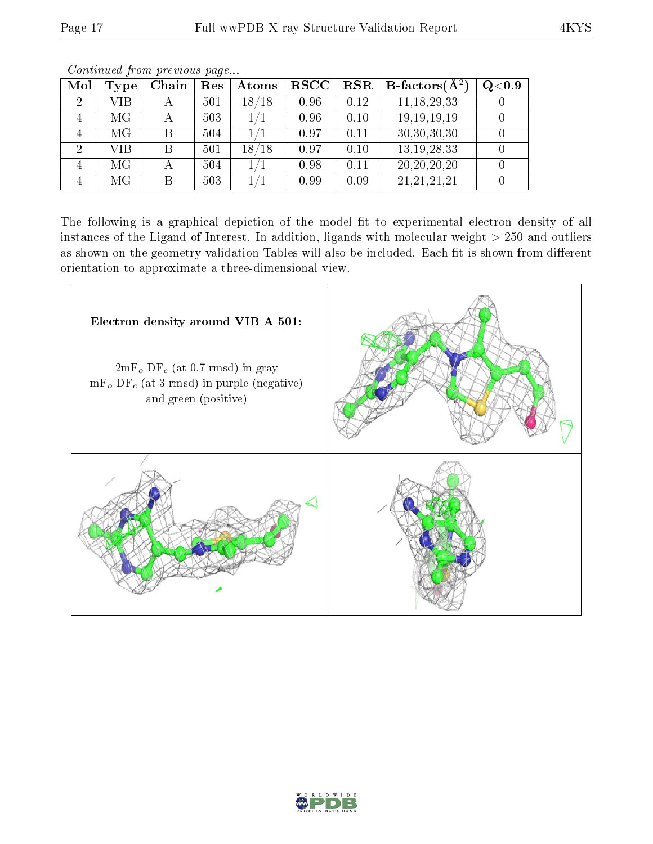| Mol | Type | Chain | Res | Atoms | <b>RSCC</b> | <b>RSR</b> | <b>B</b> -factors( $A^2$ | Q <sub>0.9</sub> |
|-----|------|-------|-----|-------|-------------|------------|--------------------------|------------------|
| 2   | VIB  |       | 501 | 18/18 | 0.96        | 0.12       | 11, 18, 29, 33           |                  |
|     | МG   |       | 503 |       | 0.96        | 0.10       | 19, 19, 19, 19           |                  |
|     | МG   | В     | 504 |       | 0.97        | 0.11       | 30,30,30,30              |                  |
| 2   | VIB  | В     | 501 | 18/18 | 0.97        | 0.10       | 13, 19, 28, 33           |                  |
|     | МG   |       | 504 |       | 0.98        | 0.11       | 20, 20, 20, 20           |                  |
|     | МG   | В     | 503 |       | 0.99        | 0.09       | 21, 21, 21, 21           |                  |

Continued from previous page...

The following is a graphical depiction of the model fit to experimental electron density of all instances of the Ligand of Interest. In addition, ligands with molecular weight  $> 250$  and outliers as shown on the geometry validation Tables will also be included. Each fit is shown from different orientation to approximate a three-dimensional view.